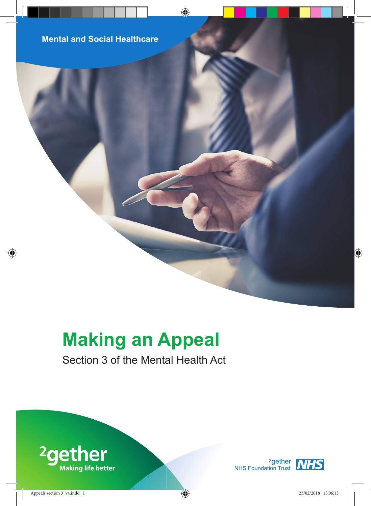**Mental and Social Healthcare**

# **Making an Appeal**

# Section 3 of the Mental Health Act



<sup>2</sup>gether<br>NHS Foundation Trust<br>NHS

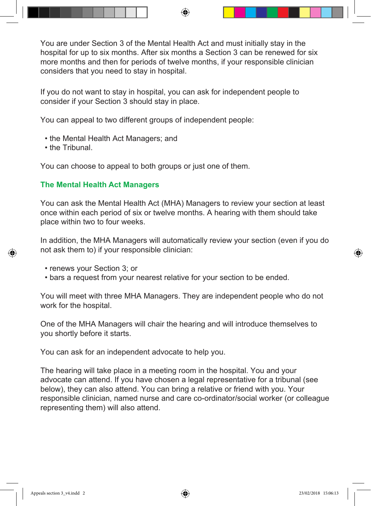You are under Section 3 of the Mental Health Act and must initially stay in the hospital for up to six months. After six months a Section 3 can be renewed for six more months and then for periods of twelve months, if your responsible clinician considers that you need to stay in hospital.

If you do not want to stay in hospital, you can ask for independent people to consider if your Section 3 should stay in place.

You can appeal to two different groups of independent people:

- the Mental Health Act Managers; and
- the Tribunal.

You can choose to appeal to both groups or just one of them.

# **The Mental Health Act Managers**

You can ask the Mental Health Act (MHA) Managers to review your section at least once within each period of six or twelve months. A hearing with them should take place within two to four weeks.

In addition, the MHA Managers will automatically review your section (even if you do not ask them to) if your responsible clinician:

- renews your Section 3; or
- bars a request from your nearest relative for your section to be ended.

You will meet with three MHA Managers. They are independent people who do not work for the hospital.

One of the MHA Managers will chair the hearing and will introduce themselves to you shortly before it starts.

You can ask for an independent advocate to help you.

The hearing will take place in a meeting room in the hospital. You and your advocate can attend. If you have chosen a legal representative for a tribunal (see below), they can also attend. You can bring a relative or friend with you. Your responsible clinician, named nurse and care co-ordinator/social worker (or colleague representing them) will also attend.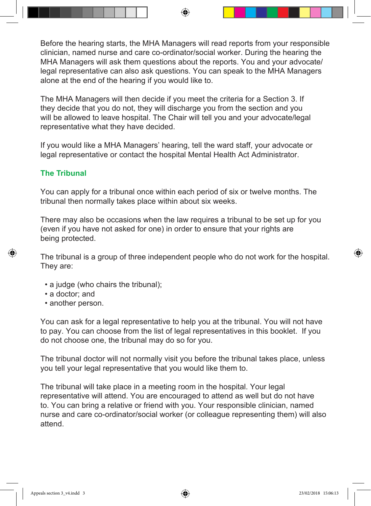Before the hearing starts, the MHA Managers will read reports from your responsible clinician, named nurse and care co-ordinator/social worker. During the hearing the MHA Managers will ask them questions about the reports. You and your advocate/ legal representative can also ask questions. You can speak to the MHA Managers alone at the end of the hearing if you would like to.

The MHA Managers will then decide if you meet the criteria for a Section 3. If they decide that you do not, they will discharge you from the section and you will be allowed to leave hospital. The Chair will tell you and your advocate/legal representative what they have decided.

If you would like a MHA Managers' hearing, tell the ward staff, your advocate or legal representative or contact the hospital Mental Health Act Administrator.

# **The Tribunal**

You can apply for a tribunal once within each period of six or twelve months. The tribunal then normally takes place within about six weeks.

There may also be occasions when the law requires a tribunal to be set up for you (even if you have not asked for one) in order to ensure that your rights are being protected.

The tribunal is a group of three independent people who do not work for the hospital. They are:

- a judge (who chairs the tribunal);
- a doctor; and
- another person.

You can ask for a legal representative to help you at the tribunal. You will not have to pay. You can choose from the list of legal representatives in this booklet. If you do not choose one, the tribunal may do so for you.

The tribunal doctor will not normally visit you before the tribunal takes place, unless you tell your legal representative that you would like them to.

The tribunal will take place in a meeting room in the hospital. Your legal representative will attend. You are encouraged to attend as well but do not have to. You can bring a relative or friend with you. Your responsible clinician, named nurse and care co-ordinator/social worker (or colleague representing them) will also attend.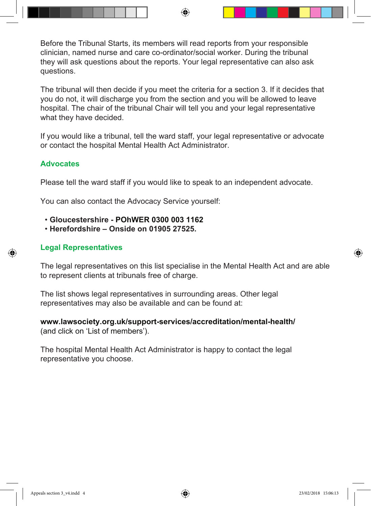Before the Tribunal Starts, its members will read reports from your responsible clinician, named nurse and care co-ordinator/social worker. During the tribunal they will ask questions about the reports. Your legal representative can also ask questions.

The tribunal will then decide if you meet the criteria for a section 3. If it decides that you do not, it will discharge you from the section and you will be allowed to leave hospital. The chair of the tribunal Chair will tell you and your legal representative what they have decided.

If you would like a tribunal, tell the ward staff, your legal representative or advocate or contact the hospital Mental Health Act Administrator.

# **Advocates**

Please tell the ward staff if you would like to speak to an independent advocate.

You can also contact the Advocacy Service yourself:

- **Gloucestershire POhWER 0300 003 1162**
- **Herefordshire Onside on 01905 27525.**

# **Legal Representatives**

The legal representatives on this list specialise in the Mental Health Act and are able to represent clients at tribunals free of charge.

The list shows legal representatives in surrounding areas. Other legal representatives may also be available and can be found at:

# **www.lawsociety.org.uk/support-services/accreditation/mental-health/** (and click on 'List of members').

The hospital Mental Health Act Administrator is happy to contact the legal representative you choose.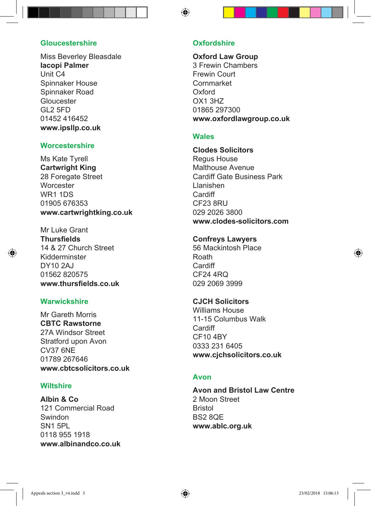#### **Gloucestershire**

Miss Beverley Bleasdale **Iacopi Palmer** Unit C4 Spinnaker House Spinnaker Road Gloucester GL2 5FD 01452 416452 **www.ipsllp.co.uk**

#### **Worcestershire**

Ms Kate Tyrell **Cartwright King** 28 Foregate Street **Worcester** WR1 1DS 01905 676353 **www.cartwrightking.co.uk**

Mr Luke Grant **Thursfields** 14 & 27 Church Street Kidderminster DY10 2AJ 01562 820575 **www.thursfields.co.uk**

#### **Warwickshire**

Mr Gareth Morris **CBTC Rawstorne** 27A Windsor Street Stratford upon Avon CV37 6NE 01789 267646 **www.cbtcsolicitors.co.uk**

#### **Wiltshire**

**Albin & Co** 121 Commercial Road Swindon SN1 5PL 0118 955 1918 **www.albinandco.co.uk**

#### **Oxfordshire**

**Oxford Law Group** 3 Frewin Chambers Frewin Court Cornmarket Oxford OX1 3HZ 01865 297300 **www.oxfordlawgroup.co.uk**

#### **Wales**

**Clodes Solicitors** Regus House Malthouse Avenue Cardiff Gate Business Park Llanishen Cardiff CF23 8RU 029 2026 3800 **www.clodes-solicitors.com**

#### **Confreys Lawyers**

56 Mackintosh Place Roath Cardiff CF24 4RQ 029 2069 3999

#### **CJCH Solicitors**

Williams House 11-15 Columbus Walk Cardiff CF10 4BY 0333 231 6405 **www.cjchsolicitors.co.uk**

#### **Avon**

**Avon and Bristol Law Centre** 2 Moon Street Bristol BS2 8QE **www.ablc.org.uk**